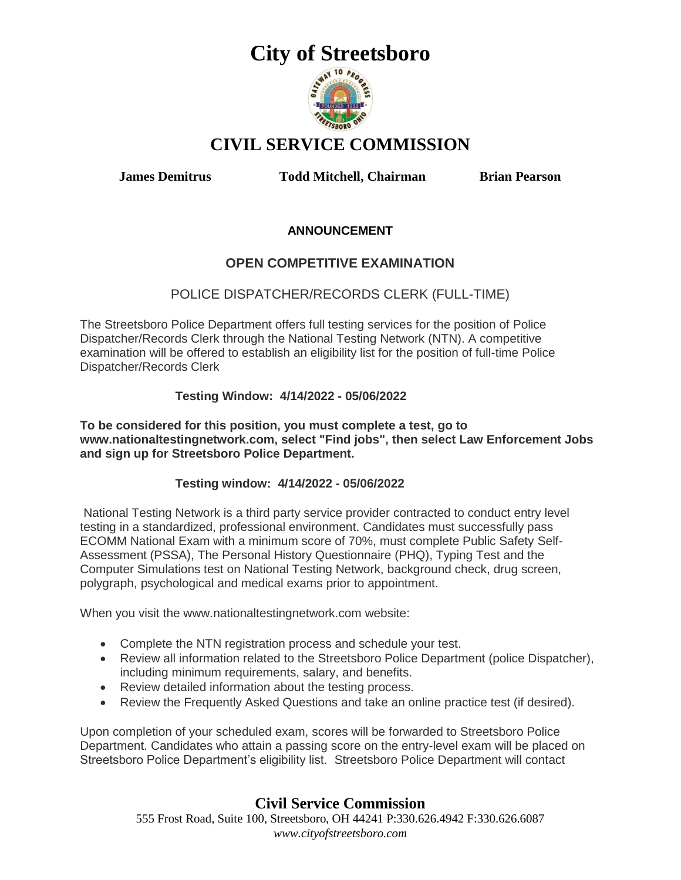

## **CIVIL SERVICE COMMISSION**

**James Demitrus Todd Mitchell, Chairman Brian Pearson**

### **ANNOUNCEMENT**

## **OPEN COMPETITIVE EXAMINATION**

## POLICE DISPATCHER/RECORDS CLERK (FULL-TIME)

The Streetsboro Police Department offers full testing services for the position of Police Dispatcher/Records Clerk through the National Testing Network (NTN). A competitive examination will be offered to establish an eligibility list for the position of full-time Police Dispatcher/Records Clerk

### **Testing Window: 4/14/2022 - 05/06/2022**

**To be considered for this position, you must complete a test, go to www.nationaltestingnetwork.com, select "Find jobs", then select Law Enforcement Jobs and sign up for Streetsboro Police Department.**

### **Testing window: 4/14/2022 - 05/06/2022**

National Testing Network is a third party service provider contracted to conduct entry level testing in a standardized, professional environment. Candidates must successfully pass ECOMM National Exam with a minimum score of 70%, must complete Public Safety Self-Assessment (PSSA), The Personal History Questionnaire (PHQ), Typing Test and the Computer Simulations test on National Testing Network, background check, drug screen, polygraph, psychological and medical exams prior to appointment.

When you visit the www.nationaltestingnetwork.com website:

- Complete the NTN registration process and schedule your test.
- Review all information related to the Streetsboro Police Department (police Dispatcher), including minimum requirements, salary, and benefits.
- Review detailed information about the testing process.
- Review the Frequently Asked Questions and take an online practice test (if desired).

Upon completion of your scheduled exam, scores will be forwarded to Streetsboro Police Department. Candidates who attain a passing score on the entry-level exam will be placed on Streetsboro Police Department's eligibility list. Streetsboro Police Department will contact

## **Civil Service Commission**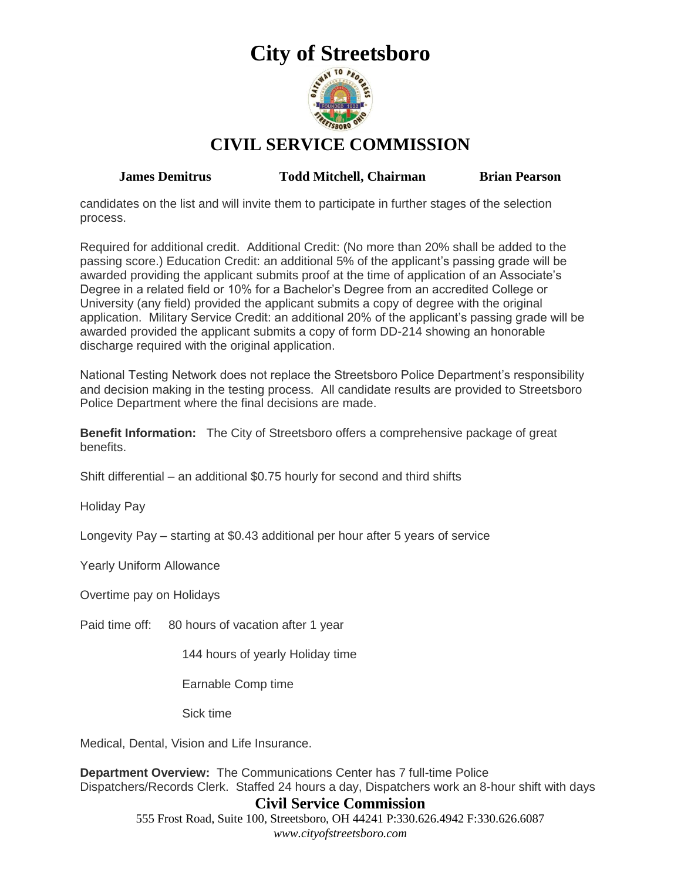

**CIVIL SERVICE COMMISSION**

**James Demitrus Todd Mitchell, Chairman Brian Pearson**

candidates on the list and will invite them to participate in further stages of the selection process.

Required for additional credit. Additional Credit: (No more than 20% shall be added to the passing score.) Education Credit: an additional 5% of the applicant's passing grade will be awarded providing the applicant submits proof at the time of application of an Associate's Degree in a related field or 10% for a Bachelor's Degree from an accredited College or University (any field) provided the applicant submits a copy of degree with the original application. Military Service Credit: an additional 20% of the applicant's passing grade will be awarded provided the applicant submits a copy of form DD-214 showing an honorable discharge required with the original application.

National Testing Network does not replace the Streetsboro Police Department's responsibility and decision making in the testing process. All candidate results are provided to Streetsboro Police Department where the final decisions are made.

**Benefit Information:** The City of Streetsboro offers a comprehensive package of great benefits.

Shift differential – an additional \$0.75 hourly for second and third shifts

Holiday Pay

Longevity Pay – starting at \$0.43 additional per hour after 5 years of service

Yearly Uniform Allowance

Overtime pay on Holidays

Paid time off: 80 hours of vacation after 1 year

144 hours of yearly Holiday time

Earnable Comp time

Sick time

Medical, Dental, Vision and Life Insurance.

**Department Overview:** The Communications Center has 7 full-time Police Dispatchers/Records Clerk. Staffed 24 hours a day, Dispatchers work an 8-hour shift with days

## **Civil Service Commission**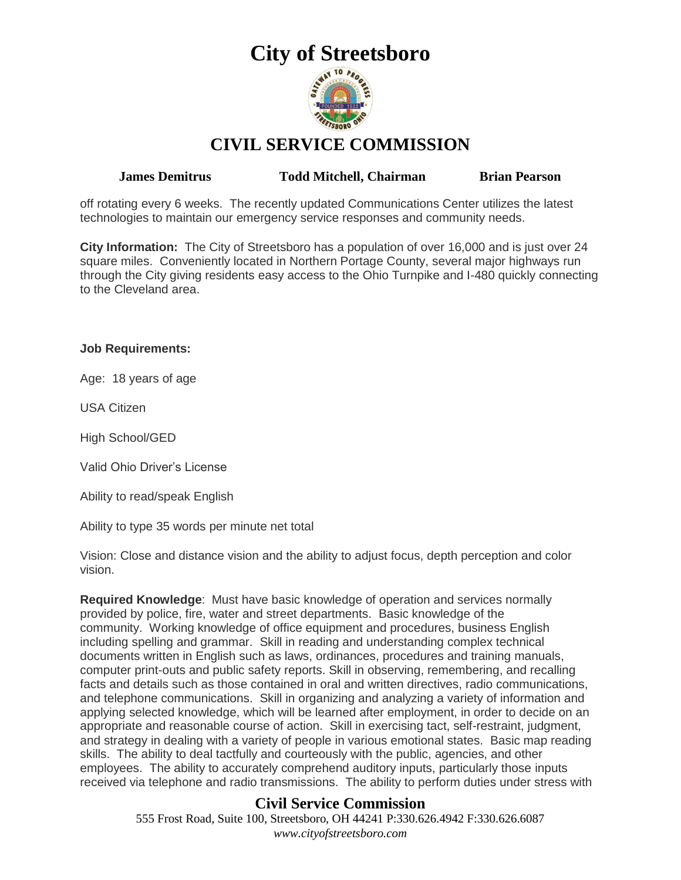

## **CIVIL SERVICE COMMISSION**

**James Demitrus Todd Mitchell, Chairman Brian Pearson**

off rotating every 6 weeks. The recently updated Communications Center utilizes the latest technologies to maintain our emergency service responses and community needs.

**City Information:** The City of Streetsboro has a population of over 16,000 and is just over 24 square miles. Conveniently located in Northern Portage County, several major highways run through the City giving residents easy access to the Ohio Turnpike and I-480 quickly connecting to the Cleveland area.

### **Job Requirements:**

Age: 18 years of age

USA Citizen

High School/GED

Valid Ohio Driver's License

Ability to read/speak English

Ability to type 35 words per minute net total

Vision: Close and distance vision and the ability to adjust focus, depth perception and color vision.

**Required Knowledge**: Must have basic knowledge of operation and services normally provided by police, fire, water and street departments. Basic knowledge of the community. Working knowledge of office equipment and procedures, business English including spelling and grammar. Skill in reading and understanding complex technical documents written in English such as laws, ordinances, procedures and training manuals, computer print-outs and public safety reports. Skill in observing, remembering, and recalling facts and details such as those contained in oral and written directives, radio communications, and telephone communications. Skill in organizing and analyzing a variety of information and applying selected knowledge, which will be learned after employment, in order to decide on an appropriate and reasonable course of action. Skill in exercising tact, self-restraint, judgment, and strategy in dealing with a variety of people in various emotional states. Basic map reading skills. The ability to deal tactfully and courteously with the public, agencies, and other employees. The ability to accurately comprehend auditory inputs, particularly those inputs received via telephone and radio transmissions. The ability to perform duties under stress with

## **Civil Service Commission**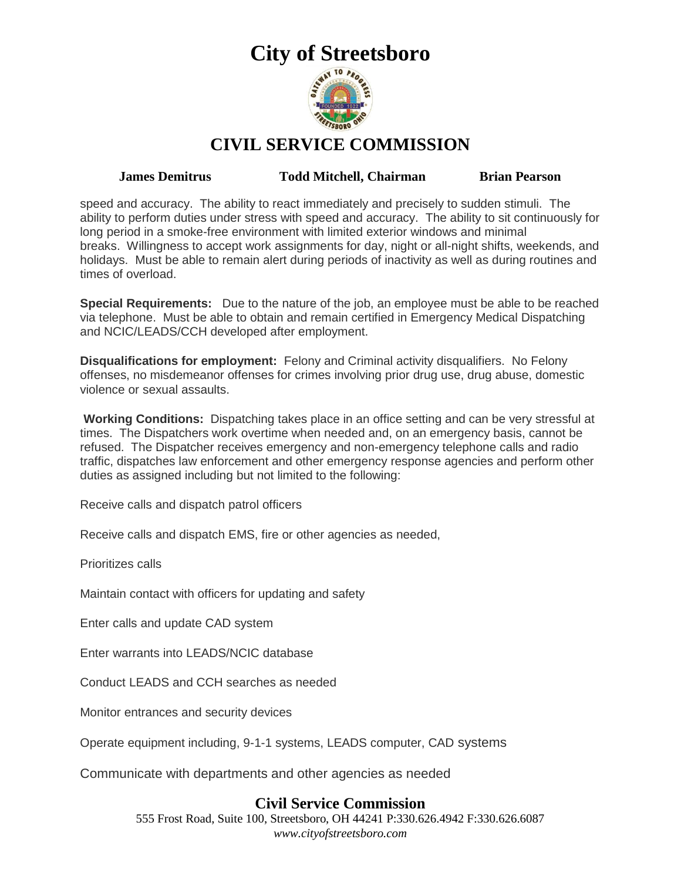

**CIVIL SERVICE COMMISSION**

**James Demitrus Todd Mitchell, Chairman Brian Pearson**

speed and accuracy. The ability to react immediately and precisely to sudden stimuli. The ability to perform duties under stress with speed and accuracy. The ability to sit continuously for long period in a smoke-free environment with limited exterior windows and minimal breaks. Willingness to accept work assignments for day, night or all-night shifts, weekends, and holidays. Must be able to remain alert during periods of inactivity as well as during routines and times of overload.

**Special Requirements:** Due to the nature of the job, an employee must be able to be reached via telephone. Must be able to obtain and remain certified in Emergency Medical Dispatching and NCIC/LEADS/CCH developed after employment.

**Disqualifications for employment:** Felony and Criminal activity disqualifiers. No Felony offenses, no misdemeanor offenses for crimes involving prior drug use, drug abuse, domestic violence or sexual assaults.

**Working Conditions:** Dispatching takes place in an office setting and can be very stressful at times. The Dispatchers work overtime when needed and, on an emergency basis, cannot be refused. The Dispatcher receives emergency and non-emergency telephone calls and radio traffic, dispatches law enforcement and other emergency response agencies and perform other duties as assigned including but not limited to the following:

Receive calls and dispatch patrol officers

Receive calls and dispatch EMS, fire or other agencies as needed,

Prioritizes calls

Maintain contact with officers for updating and safety

Enter calls and update CAD system

Enter warrants into LEADS/NCIC database

Conduct LEADS and CCH searches as needed

Monitor entrances and security devices

Operate equipment including, 9-1-1 systems, LEADS computer, CAD systems

Communicate with departments and other agencies as needed

## **Civil Service Commission**